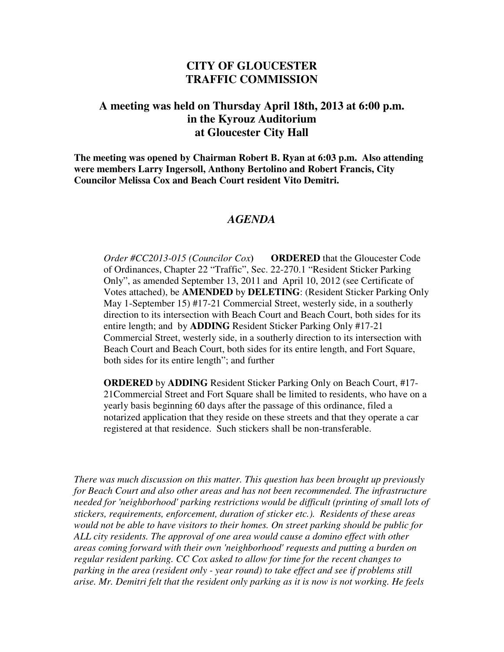## **CITY OF GLOUCESTER TRAFFIC COMMISSION**

## **A meeting was held on Thursday April 18th, 2013 at 6:00 p.m. in the Kyrouz Auditorium at Gloucester City Hall**

**The meeting was opened by Chairman Robert B. Ryan at 6:03 p.m. Also attending were members Larry Ingersoll, Anthony Bertolino and Robert Francis, City Councilor Melissa Cox and Beach Court resident Vito Demitri.** 

## *AGENDA*

*Order #CC2013-015 (Councilor Cox***) ORDERED** that the Gloucester Code of Ordinances, Chapter 22 "Traffic", Sec. 22-270.1 "Resident Sticker Parking Only", as amended September 13, 2011 and April 10, 2012 (see Certificate of Votes attached), be **AMENDED** by **DELETING**: (Resident Sticker Parking Only May 1-September 15) #17-21 Commercial Street, westerly side, in a southerly direction to its intersection with Beach Court and Beach Court, both sides for its entire length; and by **ADDING** Resident Sticker Parking Only #17-21 Commercial Street, westerly side, in a southerly direction to its intersection with Beach Court and Beach Court, both sides for its entire length, and Fort Square, both sides for its entire length"; and further

**ORDERED** by **ADDING** Resident Sticker Parking Only on Beach Court, #17- 21Commercial Street and Fort Square shall be limited to residents, who have on a yearly basis beginning 60 days after the passage of this ordinance, filed a notarized application that they reside on these streets and that they operate a car registered at that residence. Such stickers shall be non-transferable.

*There was much discussion on this matter. This question has been brought up previously for Beach Court and also other areas and has not been recommended. The infrastructure needed for 'neighborhood' parking restrictions would be difficult (printing of small lots of stickers, requirements, enforcement, duration of sticker etc.). Residents of these areas would not be able to have visitors to their homes. On street parking should be public for ALL city residents. The approval of one area would cause a domino effect with other areas coming forward with their own 'neighborhood' requests and putting a burden on regular resident parking. CC Cox asked to allow for time for the recent changes to parking in the area (resident only - year round) to take effect and see if problems still arise. Mr. Demitri felt that the resident only parking as it is now is not working. He feels*